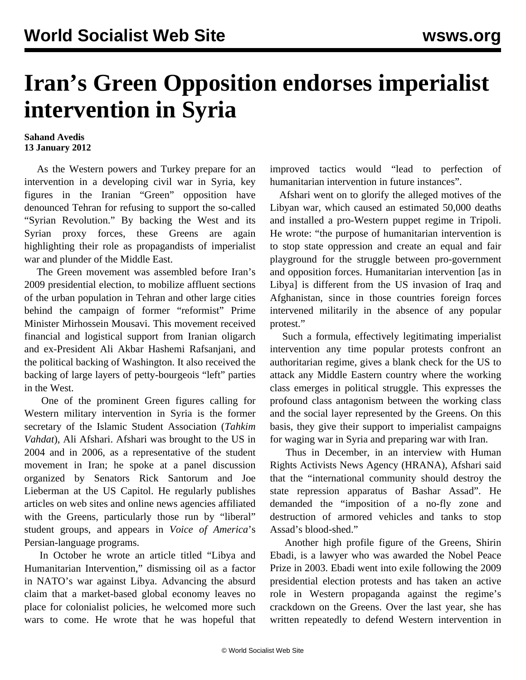## **Iran's Green Opposition endorses imperialist intervention in Syria**

## **Sahand Avedis 13 January 2012**

 As the Western powers and Turkey prepare for an intervention in a developing civil war in Syria, key figures in the Iranian "Green" opposition have denounced Tehran for refusing to support the so-called "Syrian Revolution." By backing the West and its Syrian proxy forces, these Greens are again highlighting their role as propagandists of imperialist war and plunder of the Middle East.

 The Green movement was assembled before Iran's 2009 presidential election, to mobilize affluent sections of the urban population in Tehran and other large cities behind the campaign of former "reformist" Prime Minister Mirhossein Mousavi. This movement received financial and logistical support from Iranian oligarch and ex-President Ali Akbar Hashemi Rafsanjani, and the political backing of Washington. It also received the backing of large layers of petty-bourgeois "left" parties in the West.

 One of the prominent Green figures calling for Western military intervention in Syria is the former secretary of the Islamic Student Association (*Tahkim Vahdat*), Ali Afshari. Afshari was brought to the US in 2004 and in 2006, as a representative of the student movement in Iran; he spoke at a panel discussion organized by Senators Rick Santorum and Joe Lieberman at the US Capitol. He regularly publishes articles on web sites and online news agencies affiliated with the Greens, particularly those run by "liberal" student groups, and appears in *Voice of America*'s Persian-language programs.

 In October he wrote an article titled "Libya and Humanitarian Intervention," dismissing oil as a factor in NATO's war against Libya. Advancing the absurd claim that a market-based global economy leaves no place for colonialist policies, he welcomed more such wars to come. He wrote that he was hopeful that improved tactics would "lead to perfection of humanitarian intervention in future instances".

 Afshari went on to glorify the alleged motives of the Libyan war, which caused an estimated 50,000 deaths and installed a pro-Western puppet regime in Tripoli. He wrote: "the purpose of humanitarian intervention is to stop state oppression and create an equal and fair playground for the struggle between pro-government and opposition forces. Humanitarian intervention [as in Libya] is different from the US invasion of Iraq and Afghanistan, since in those countries foreign forces intervened militarily in the absence of any popular protest."

 Such a formula, effectively legitimating imperialist intervention any time popular protests confront an authoritarian regime, gives a blank check for the US to attack any Middle Eastern country where the working class emerges in political struggle. This expresses the profound class antagonism between the working class and the social layer represented by the Greens. On this basis, they give their support to imperialist campaigns for waging war in Syria and preparing war with Iran.

 Thus in December, in an interview with Human Rights Activists News Agency (HRANA), Afshari said that the "international community should destroy the state repression apparatus of Bashar Assad". He demanded the "imposition of a no-fly zone and destruction of armored vehicles and tanks to stop Assad's blood-shed."

 Another high profile figure of the Greens, Shirin Ebadi, is a lawyer who was awarded the Nobel Peace Prize in 2003. Ebadi went into exile following the 2009 presidential election protests and has taken an active role in Western propaganda against the regime's crackdown on the Greens. Over the last year, she has written repeatedly to defend Western intervention in